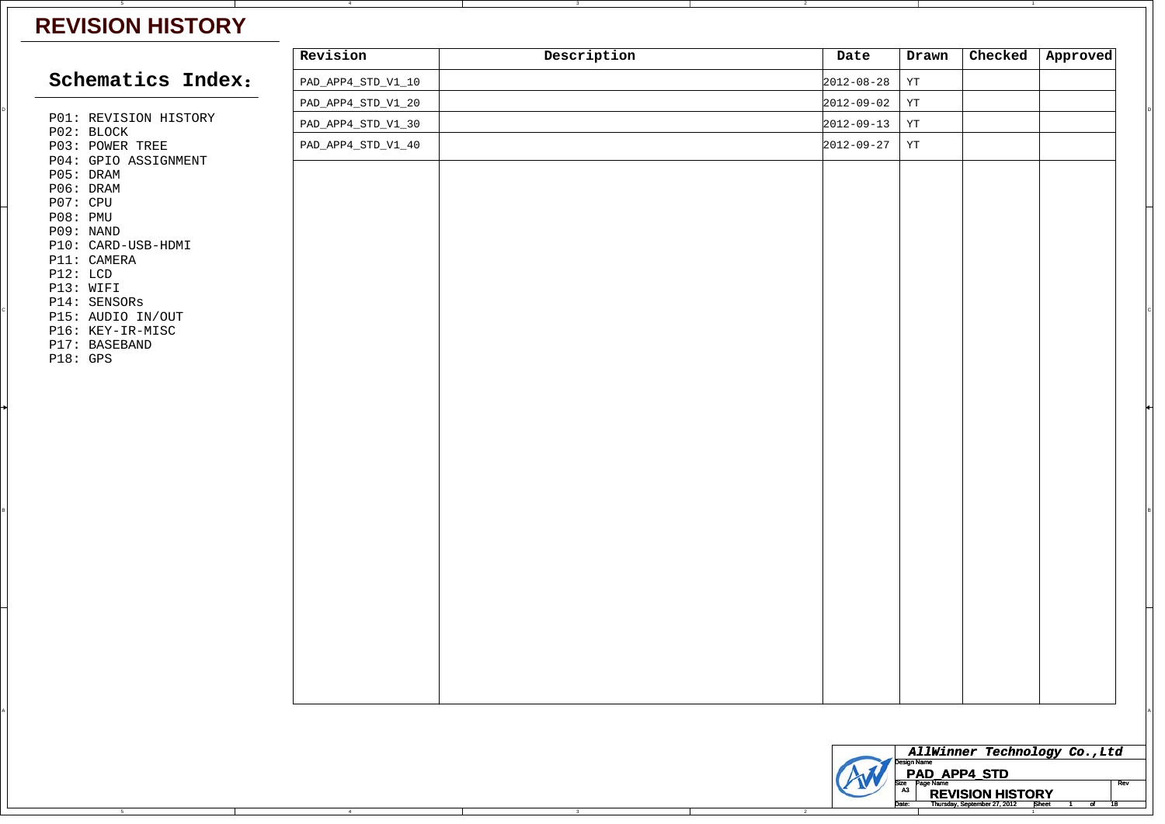## **REVISION HISTORY**

|                                   | Revision           | Description | Date                                                         | Drawn                          | Checked | Approved                                                                     |  |
|-----------------------------------|--------------------|-------------|--------------------------------------------------------------|--------------------------------|---------|------------------------------------------------------------------------------|--|
| Schematics Index:                 | PAD_APP4_STD_V1_10 |             | $2012 - 08 - 28$                                             | $\mathtt{YT}$                  |         |                                                                              |  |
|                                   | PAD_APP4_STD_V1_20 |             | $2012 - 09 - 02$                                             | $\mathtt{YT}$                  |         |                                                                              |  |
| P01: REVISION HISTORY             | PAD_APP4_STD_V1_30 |             | $2012 - 09 - 13$                                             | $\mathtt{YT}$                  |         |                                                                              |  |
| P02: BLOCK<br>P03: POWER TREE     | PAD_APP4_STD_V1_40 |             | $2012 - 09 - 27$                                             | YT                             |         |                                                                              |  |
| P04: GPIO ASSIGNMENT              |                    |             |                                                              |                                |         |                                                                              |  |
| P05: DRAM<br>P06: DRAM            |                    |             |                                                              |                                |         |                                                                              |  |
| P07: CPU                          |                    |             |                                                              |                                |         |                                                                              |  |
| P08: PMU<br>P09: NAND             |                    |             |                                                              |                                |         |                                                                              |  |
| P10: CARD-USB-HDMI                |                    |             |                                                              |                                |         |                                                                              |  |
| P11: CAMERA                       |                    |             |                                                              |                                |         |                                                                              |  |
| P12: LCD<br>P13: WIFI             |                    |             |                                                              |                                |         |                                                                              |  |
| P14: SENSORS                      |                    |             |                                                              |                                |         |                                                                              |  |
| P15: AUDIO IN/OUT                 |                    |             |                                                              |                                |         |                                                                              |  |
| P16: KEY-IR-MISC<br>P17: BASEBAND |                    |             |                                                              |                                |         |                                                                              |  |
| P18: GPS                          |                    |             |                                                              |                                |         |                                                                              |  |
|                                   |                    |             |                                                              |                                |         |                                                                              |  |
|                                   |                    |             |                                                              |                                |         |                                                                              |  |
|                                   |                    |             |                                                              |                                |         |                                                                              |  |
|                                   |                    |             |                                                              |                                |         |                                                                              |  |
|                                   |                    |             |                                                              |                                |         |                                                                              |  |
|                                   |                    |             |                                                              |                                |         |                                                                              |  |
|                                   |                    |             |                                                              |                                |         |                                                                              |  |
|                                   |                    |             |                                                              |                                |         |                                                                              |  |
|                                   |                    |             |                                                              |                                |         |                                                                              |  |
|                                   |                    |             |                                                              |                                |         |                                                                              |  |
|                                   |                    |             |                                                              |                                |         |                                                                              |  |
|                                   |                    |             |                                                              |                                |         |                                                                              |  |
|                                   |                    |             |                                                              |                                |         |                                                                              |  |
|                                   |                    |             |                                                              |                                |         |                                                                              |  |
|                                   |                    |             |                                                              |                                |         |                                                                              |  |
|                                   |                    |             |                                                              |                                |         |                                                                              |  |
|                                   |                    |             |                                                              |                                |         |                                                                              |  |
|                                   |                    |             |                                                              |                                |         |                                                                              |  |
|                                   |                    |             |                                                              |                                |         |                                                                              |  |
|                                   |                    |             |                                                              |                                |         |                                                                              |  |
|                                   |                    |             | AllWinner Technology Co., Ltd<br>lesign Name<br>PAD_APP4_STD |                                |         |                                                                              |  |
|                                   |                    |             |                                                              | Size Page Name<br>A3 <b>DE</b> |         | Rev                                                                          |  |
|                                   |                    |             |                                                              | Date:                          |         | <b>REVISION HISTORY</b><br>Thursday, September 27, 2012 <b>Sheet</b> 1 of 18 |  |

2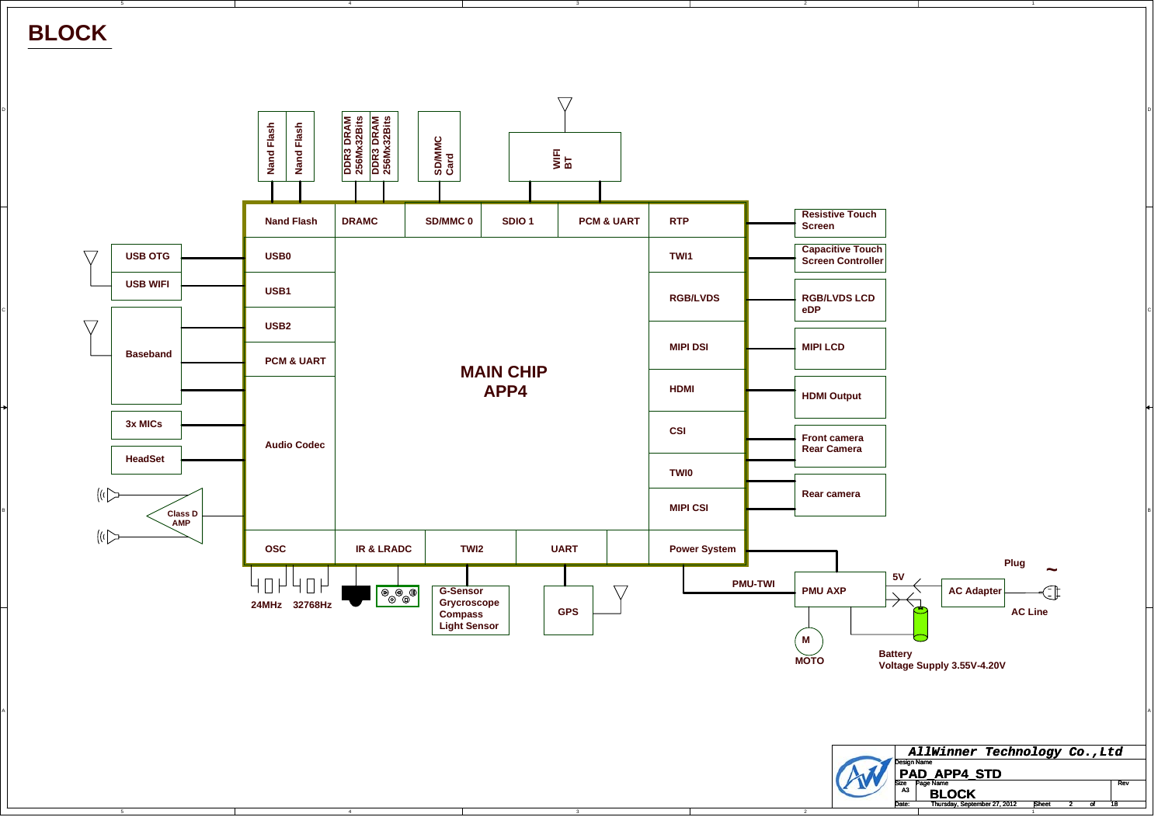**BLOCK**

C

B

A

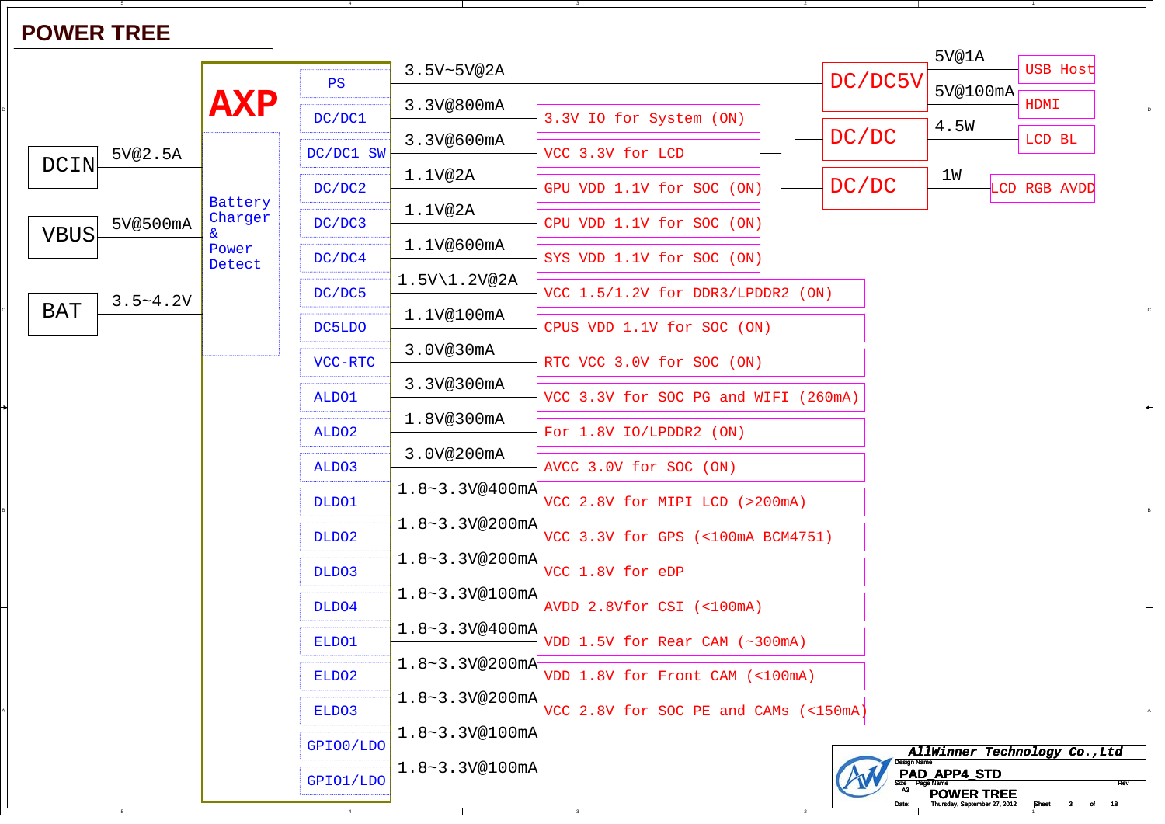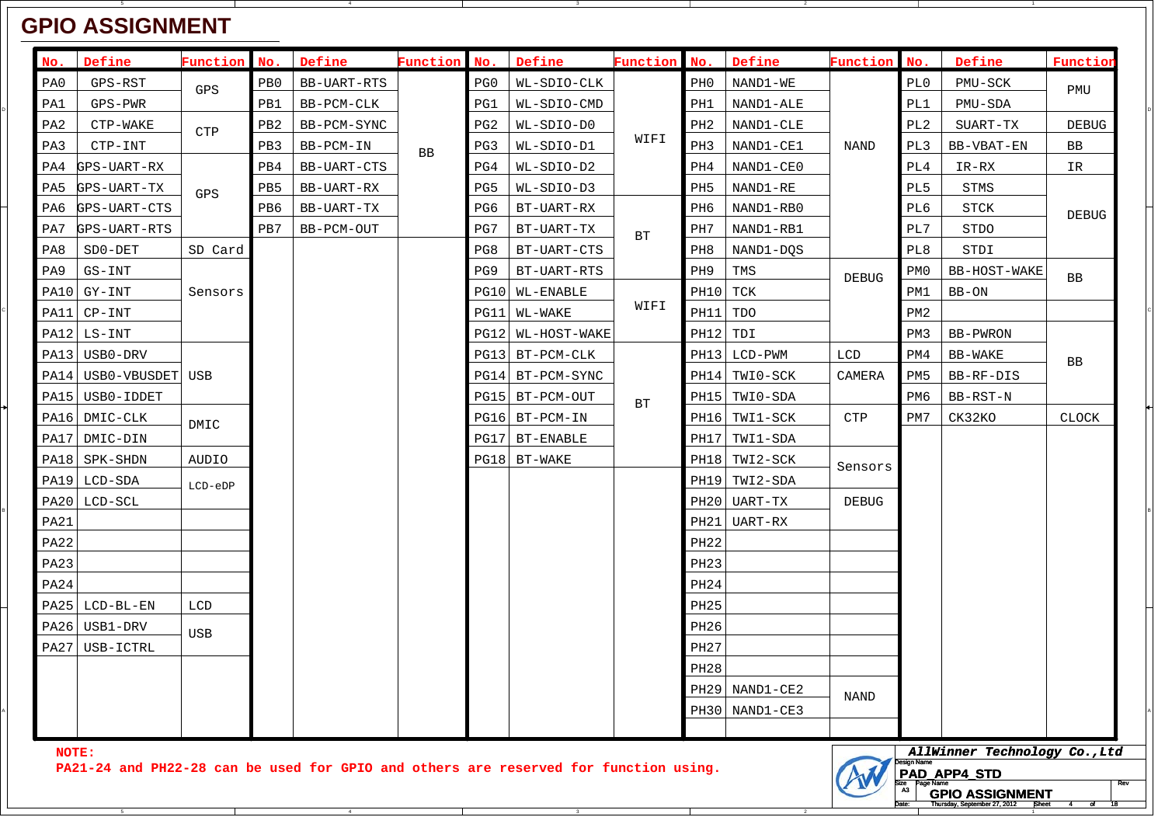## **GPIO ASSIGNMENT**

| No.                                                                                           | Define                | Function   | No.                                 | Define      | <b>Function</b> | No.             | Define             | Function                                                                                                             | No.              | Define           | Function     | No.             | Define       | Function     |
|-----------------------------------------------------------------------------------------------|-----------------------|------------|-------------------------------------|-------------|-----------------|-----------------|--------------------|----------------------------------------------------------------------------------------------------------------------|------------------|------------------|--------------|-----------------|--------------|--------------|
| PA0                                                                                           | GPS-RST               | GPS        | PB0                                 | BB-UART-RTS |                 | PG0             | WL-SDIO-CLK        |                                                                                                                      | PH0              | NAND1-WE         |              | PL0             | PMU-SCK      | PMU          |
| PA1                                                                                           | GPS-PWR               |            | PB1                                 | BB-PCM-CLK  |                 | PG1             | WL-SDIO-CMD        |                                                                                                                      | PH1              | NAND1-ALE        |              | PL1             | PMU-SDA      |              |
| PA2                                                                                           | CTP-WAKE              | <b>CTP</b> | PB <sub>2</sub><br>PB3<br>BB-PCM-IN | BB-PCM-SYNC |                 | PG <sub>2</sub> | WL-SDIO-D0         | WIFI<br>BT                                                                                                           | PH2              | NAND1-CLE        | NAND         | PL <sub>2</sub> | SUART-TX     | <b>DEBUG</b> |
| PA3                                                                                           | CTP-INT               |            |                                     |             | BB              | PG3             | WL-SDIO-D1         |                                                                                                                      | PH3              | NAND1-CE1        |              | PL3             | BB-VBAT-EN   | BB           |
| PA4                                                                                           | GPS-UART-RX           |            | PB4                                 | BB-UART-CTS |                 | PG4             | WL-SDIO-D2         |                                                                                                                      | PH4              | NAND1-CE0        |              | PL4             | IR-RX        | IR           |
| PA5                                                                                           | GPS-UART-TX           | GPS        | PB5                                 | BB-UART-RX  |                 | PG5             | WL-SDIO-D3         |                                                                                                                      | PH5              | NAND1-RE         |              | PL5             | <b>STMS</b>  | <b>DEBUG</b> |
| PA6                                                                                           | GPS-UART-CTS          |            | PB6                                 | BB-UART-TX  |                 | PG6             | BT-UART-RX         |                                                                                                                      | PH6              | NAND1-RB0        |              | PL6             | <b>STCK</b>  |              |
| PA7                                                                                           | GPS-UART-RTS          |            | PB7                                 | BB-PCM-OUT  |                 | PG7             | BT-UART-TX         |                                                                                                                      | PH7              | NAND1-RB1        |              | PL7             | <b>STDO</b>  |              |
| PA8                                                                                           | SD0-DET               | SD Card    |                                     |             |                 | PG8             | BT-UART-CTS        |                                                                                                                      | PH8              | NAND1-DQS        |              | PL8             | STDI         |              |
| PA9                                                                                           | GS-INT                |            |                                     |             |                 | PG9             | BT-UART-RTS        |                                                                                                                      | PH9              | TMS              | <b>DEBUG</b> | PM0             | BB-HOST-WAKE | <b>BB</b>    |
|                                                                                               | PA10 GY-INT           | Sensors    |                                     |             |                 |                 | PG10   WL-ENABLE   |                                                                                                                      | PH10             | TCK              |              | PM1             | BB-ON        |              |
|                                                                                               | PA11 CP-INT           |            |                                     |             |                 |                 | PG11  WL-WAKE      | WIFI                                                                                                                 | PH11             | TDO              |              | PM2             |              |              |
|                                                                                               | PA12  LS-INT          |            |                                     |             |                 |                 | PG12  WL-HOST-WAKE |                                                                                                                      | <b>PH12</b>      | TDI              |              | PM3             | BB-PWRON     |              |
|                                                                                               | PA13 USB0-DRV         |            |                                     |             |                 |                 | PG13 BT-PCM-CLK    |                                                                                                                      |                  | PH13 LCD-PWM     | LCD          | PM4             | BB-WAKE      | BB           |
|                                                                                               | PA14 USB0-VBUSDET USB |            |                                     |             |                 |                 | PG14 BT-PCM-SYNC   |                                                                                                                      |                  | PH14 TWI0-SCK    | CAMERA       | PM5             | BB-RF-DIS    |              |
|                                                                                               | PA15   USB0-IDDET     |            |                                     |             |                 |                 | PG15   BT-PCM-OUT  | BT                                                                                                                   | PH15             | TWI0-SDA         |              | PM6             | BB-RST-N     |              |
|                                                                                               | PA16 DMIC-CLK         | DMIC       |                                     |             |                 |                 | PG16 BT-PCM-IN     |                                                                                                                      |                  | PH16 TWI1-SCK    | <b>CTP</b>   | PM7             | CK32KO       | <b>CLOCK</b> |
|                                                                                               | PA17  DMIC-DIN        |            |                                     |             |                 |                 | PG17 BT-ENABLE     | PH17                                                                                                                 | TWI1-SDA         |                  |              |                 |              |              |
|                                                                                               | PA18   SPK-SHDN       | AUDIO      |                                     |             |                 |                 | $PG18$ BT-WAKE     |                                                                                                                      |                  | PH18 TWI2-SCK    | Sensors      |                 |              |              |
|                                                                                               | PA19  LCD-SDA         | LCD-eDP    |                                     |             |                 |                 |                    |                                                                                                                      | PH19             | TWI2-SDA         |              |                 |              |              |
|                                                                                               | PA20  LCD-SCL         |            |                                     |             |                 |                 |                    |                                                                                                                      |                  | PH20   UART-TX   | DEBUG        |                 |              |              |
| PA21                                                                                          |                       |            |                                     |             |                 |                 |                    |                                                                                                                      | PH21             | UART-RX          |              |                 |              |              |
| PA22                                                                                          |                       |            |                                     |             |                 |                 |                    |                                                                                                                      | PH <sub>22</sub> |                  |              |                 |              |              |
| PA23                                                                                          |                       |            |                                     |             |                 |                 |                    |                                                                                                                      | PH <sub>23</sub> |                  |              |                 |              |              |
| PA24                                                                                          |                       |            |                                     |             |                 |                 |                    |                                                                                                                      | PH24             |                  |              |                 |              |              |
|                                                                                               | $PA25$ LCD-BL-EN      | LCD        |                                     |             |                 |                 |                    |                                                                                                                      | <b>PH25</b>      |                  |              |                 |              |              |
|                                                                                               | PA26 USB1-DRV         | <b>USB</b> |                                     |             |                 |                 |                    |                                                                                                                      | PH <sub>26</sub> |                  |              |                 |              |              |
|                                                                                               | PA27 USB-ICTRL        |            |                                     |             |                 |                 |                    |                                                                                                                      | PH27             |                  |              |                 |              |              |
|                                                                                               |                       |            |                                     |             |                 |                 |                    |                                                                                                                      | PH28             |                  |              |                 |              |              |
|                                                                                               |                       |            |                                     |             |                 |                 |                    |                                                                                                                      |                  | $PH29$ NAND1-CE2 | <b>NAND</b>  |                 |              |              |
|                                                                                               |                       |            |                                     |             |                 |                 |                    |                                                                                                                      |                  | PH30 NAND1-CE3   |              |                 |              |              |
|                                                                                               |                       |            |                                     |             |                 |                 |                    |                                                                                                                      |                  |                  |              |                 |              |              |
| NOTE:<br>PA21-24 and PH22-28 can be used for GPIO and others are reserved for function using. |                       |            |                                     |             |                 |                 |                    | AllWinner Technology Co., Ltd<br>esign Name<br>PAD_APP4_STD<br>$\frac{size}{43}$ Page Name<br><b>GPIO ASSIGNMENT</b> |                  |                  |              |                 |              |              |

2

Date: Thursday, September 27, 2012 **Sheet 4** of 18

of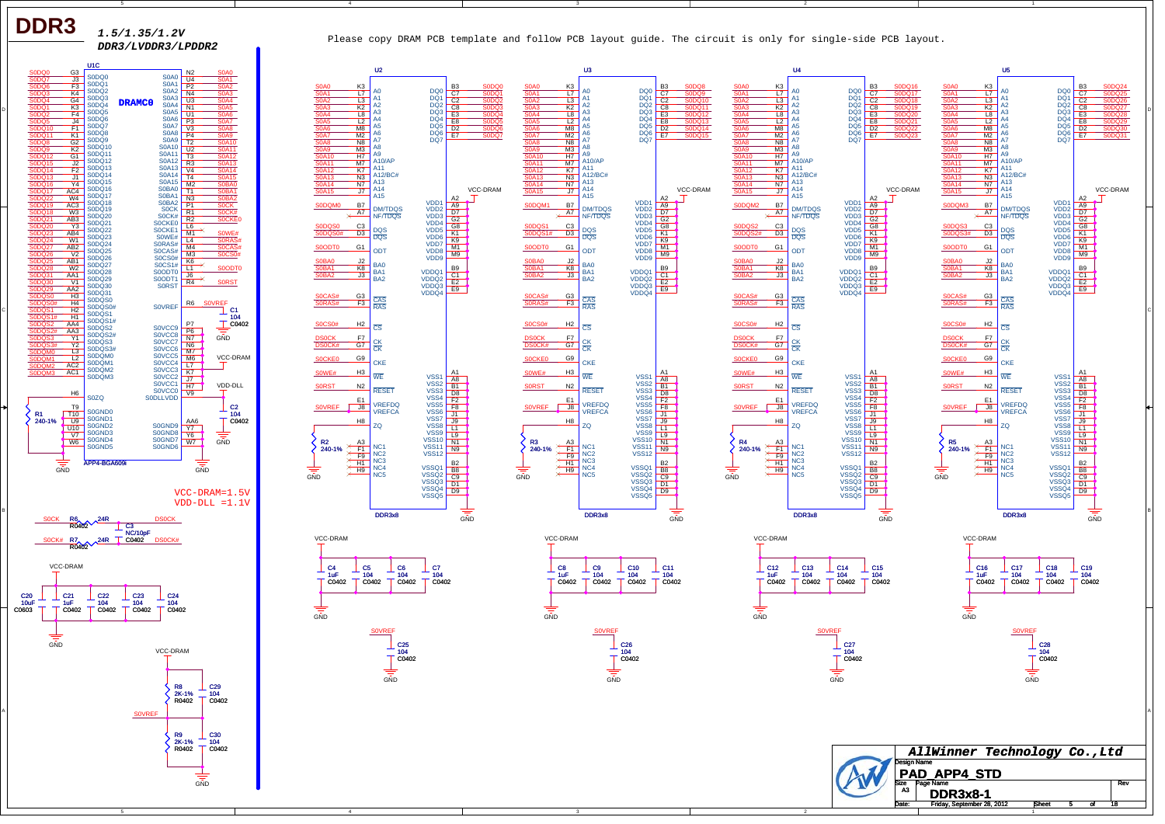**DDR3**

*1.5/1.35/1.2V*

*DDR3/LVDDR3/LPDDR2* Please copy DRAM PCB template and follow PCB layout guide. The circuit is only for single-side PCB layout.

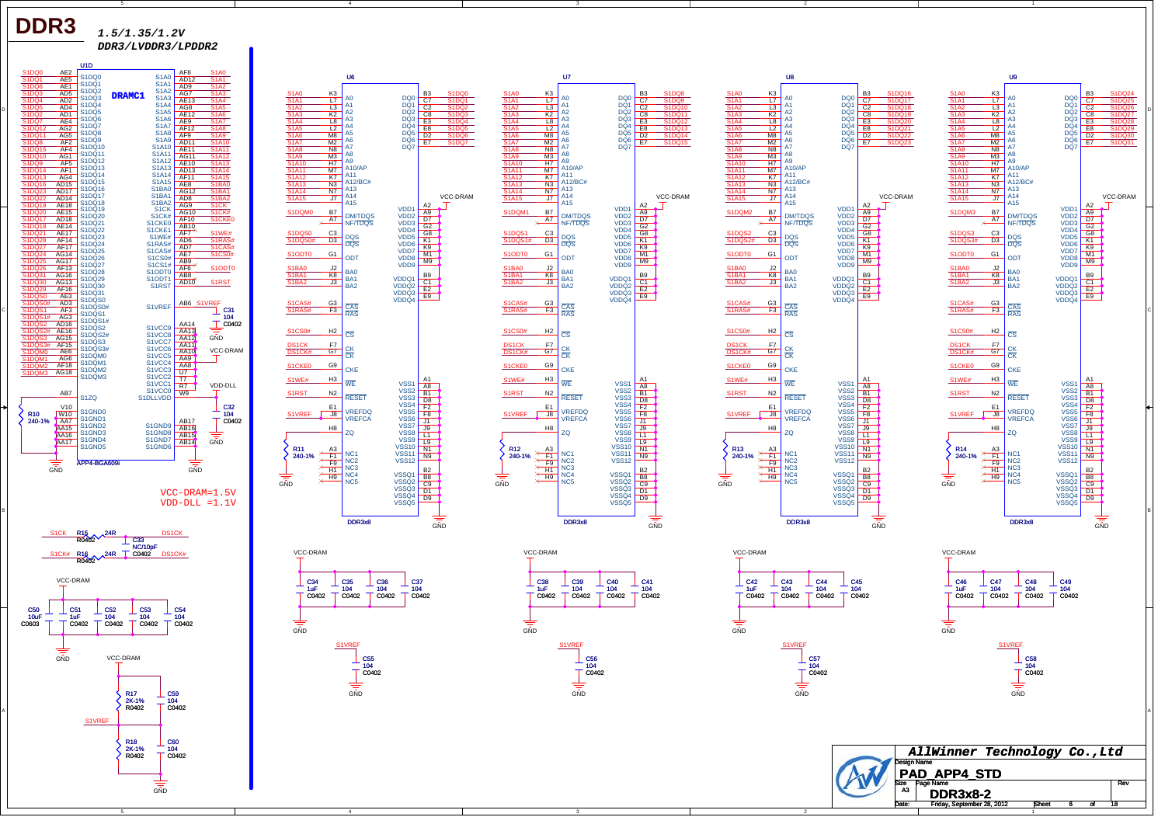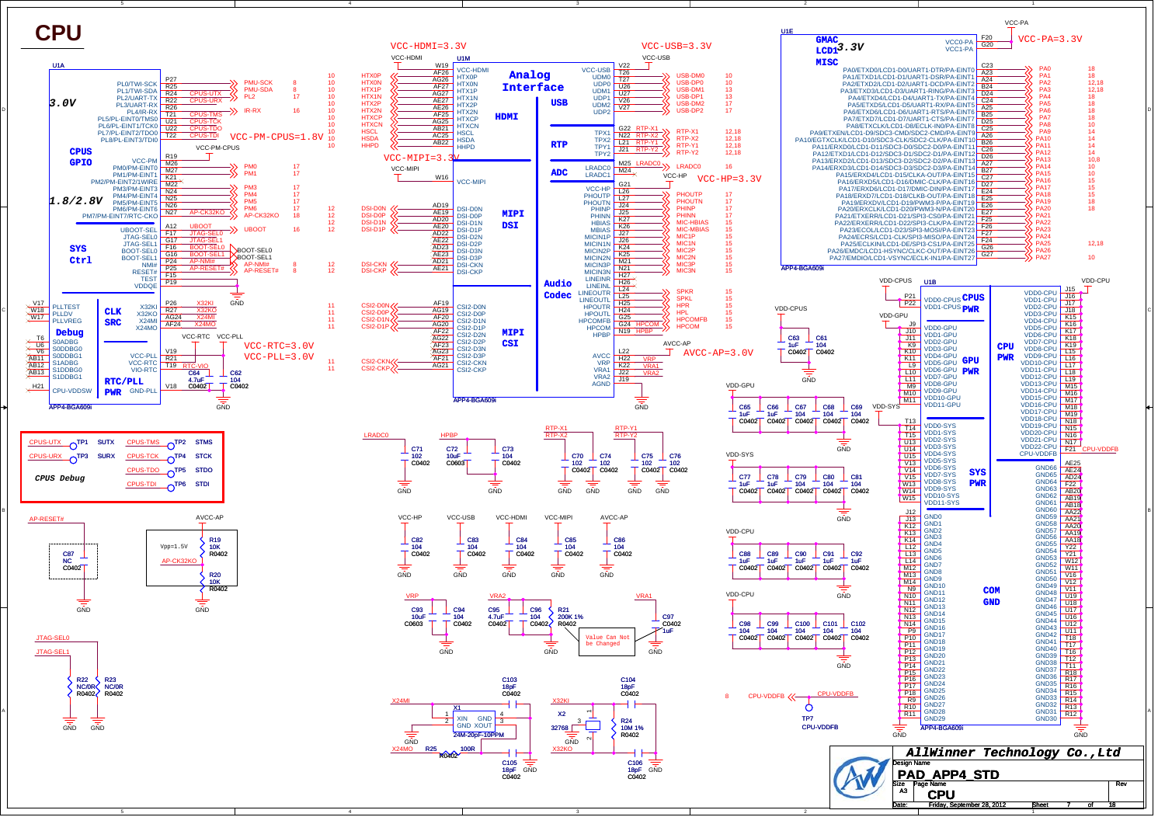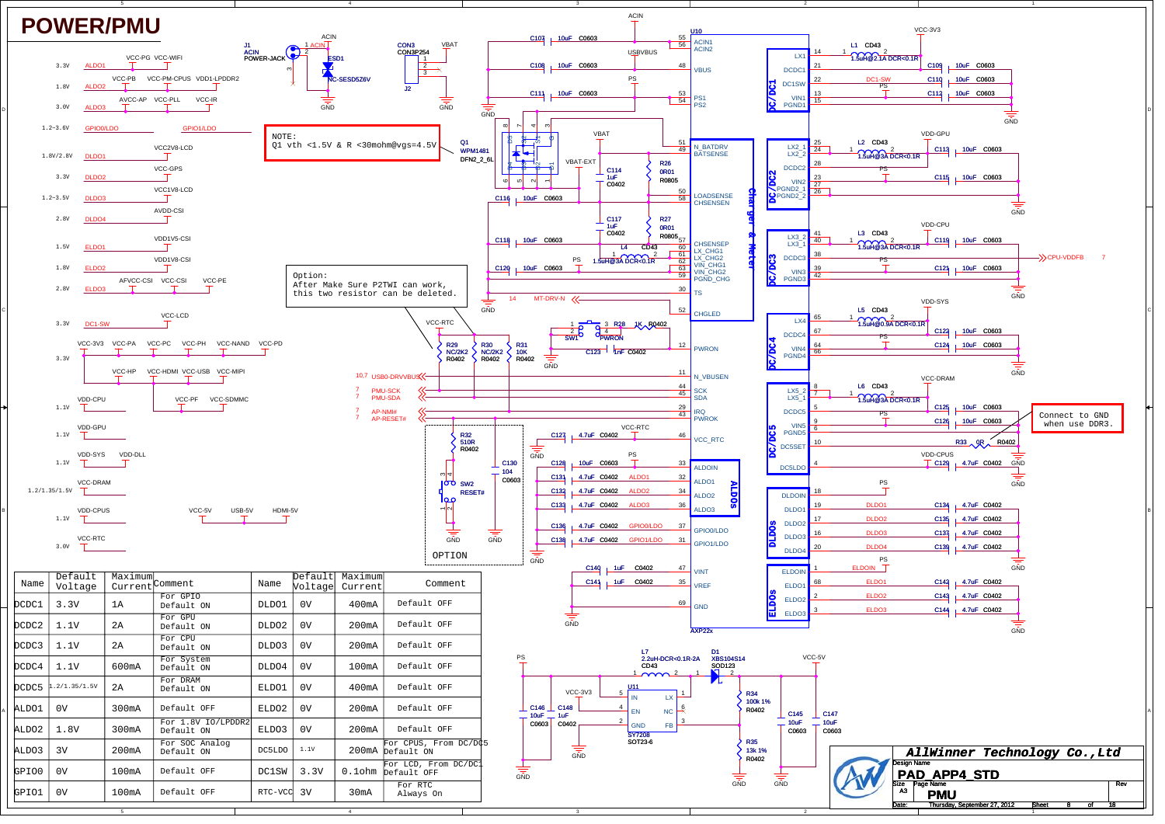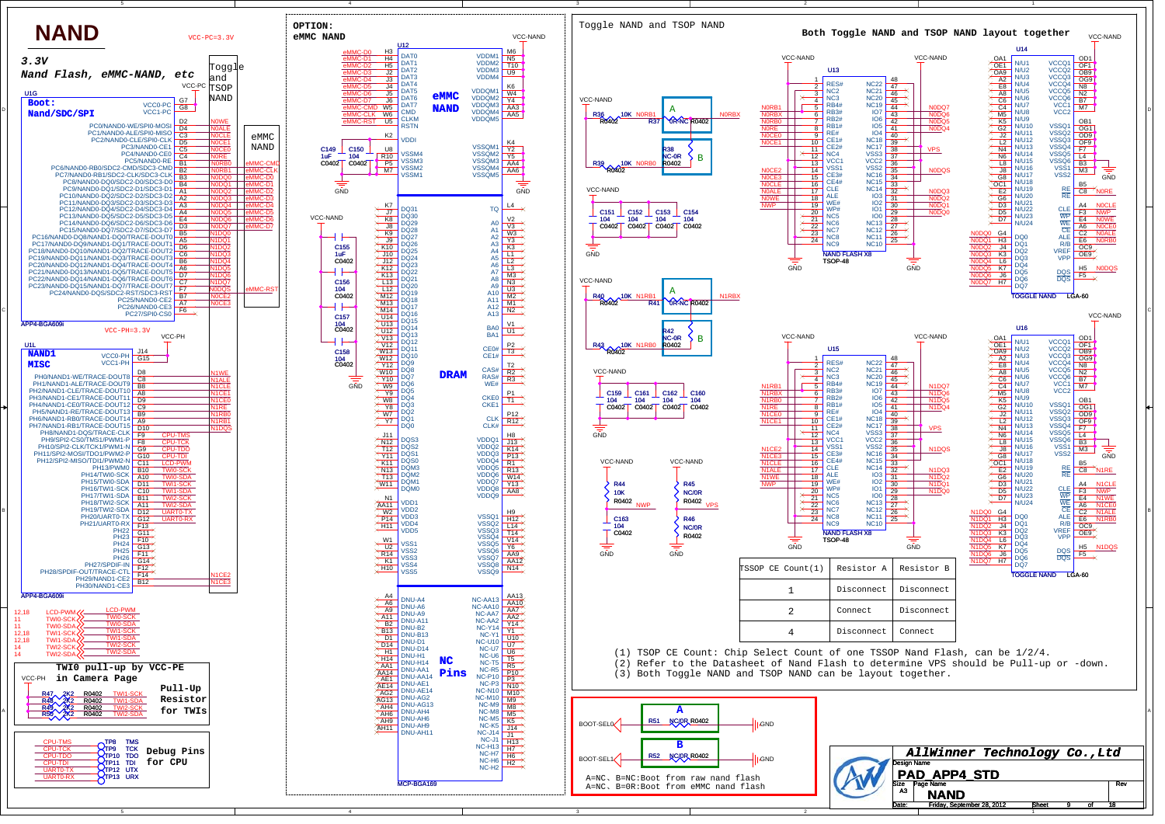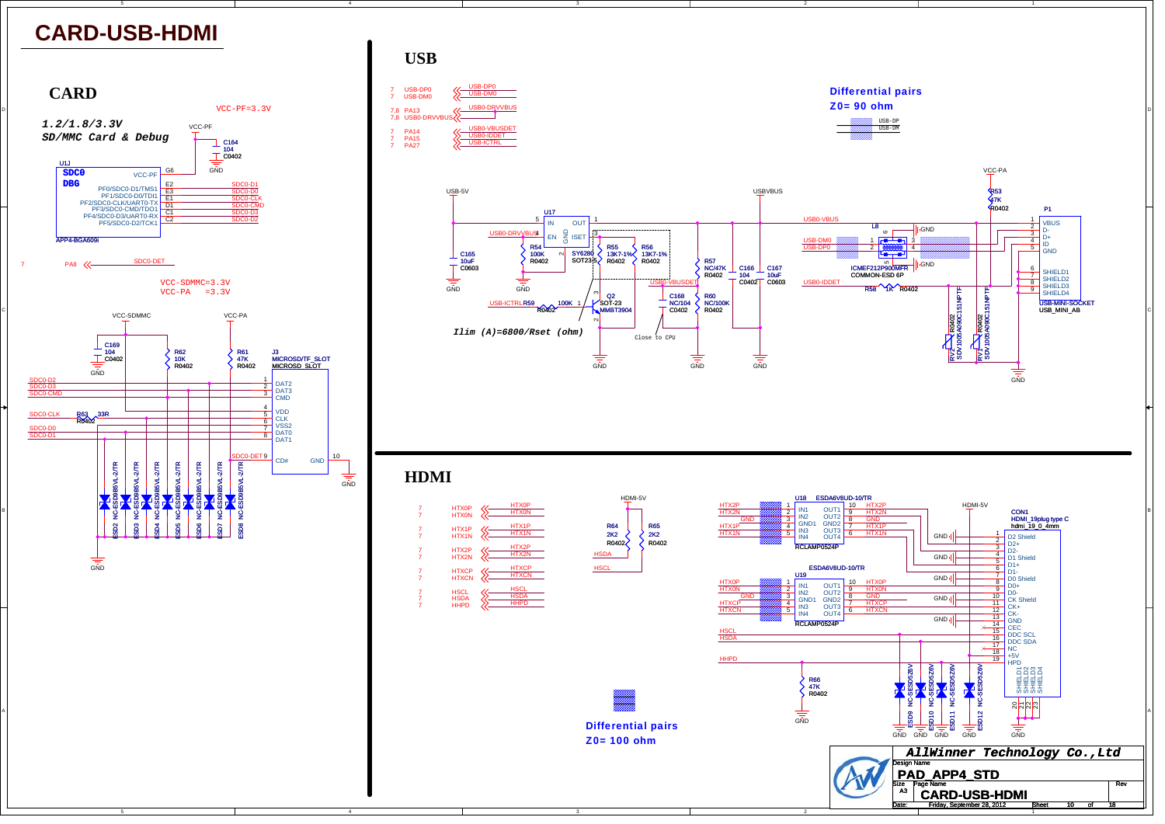



4



1

t 10 of

Date: Friday, September 28, 2012 15 Sheet 10 of 18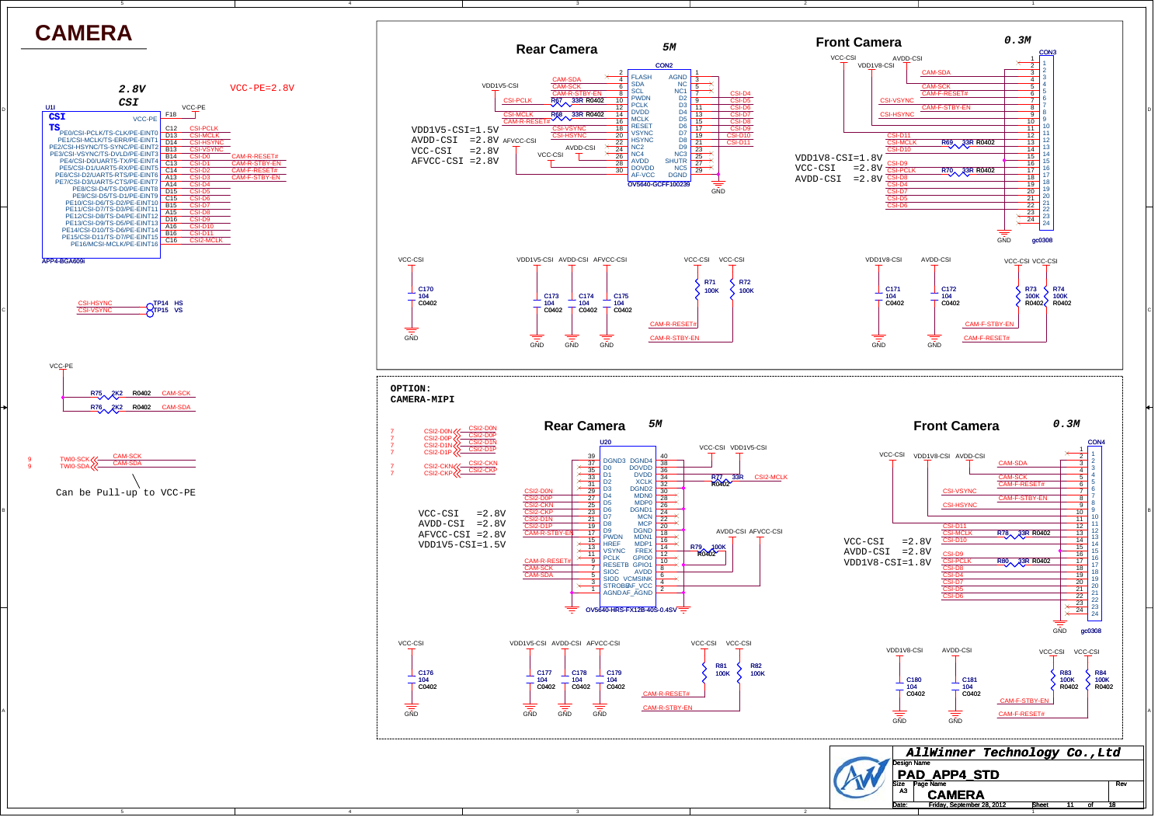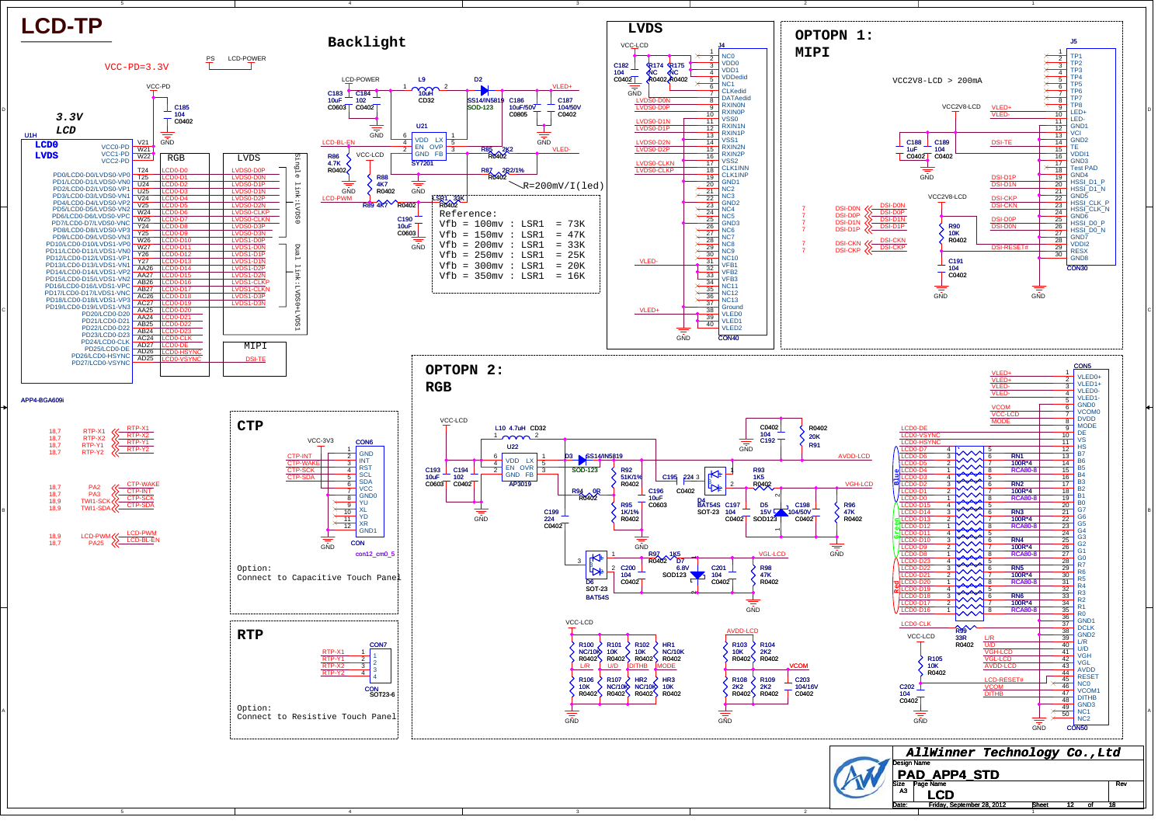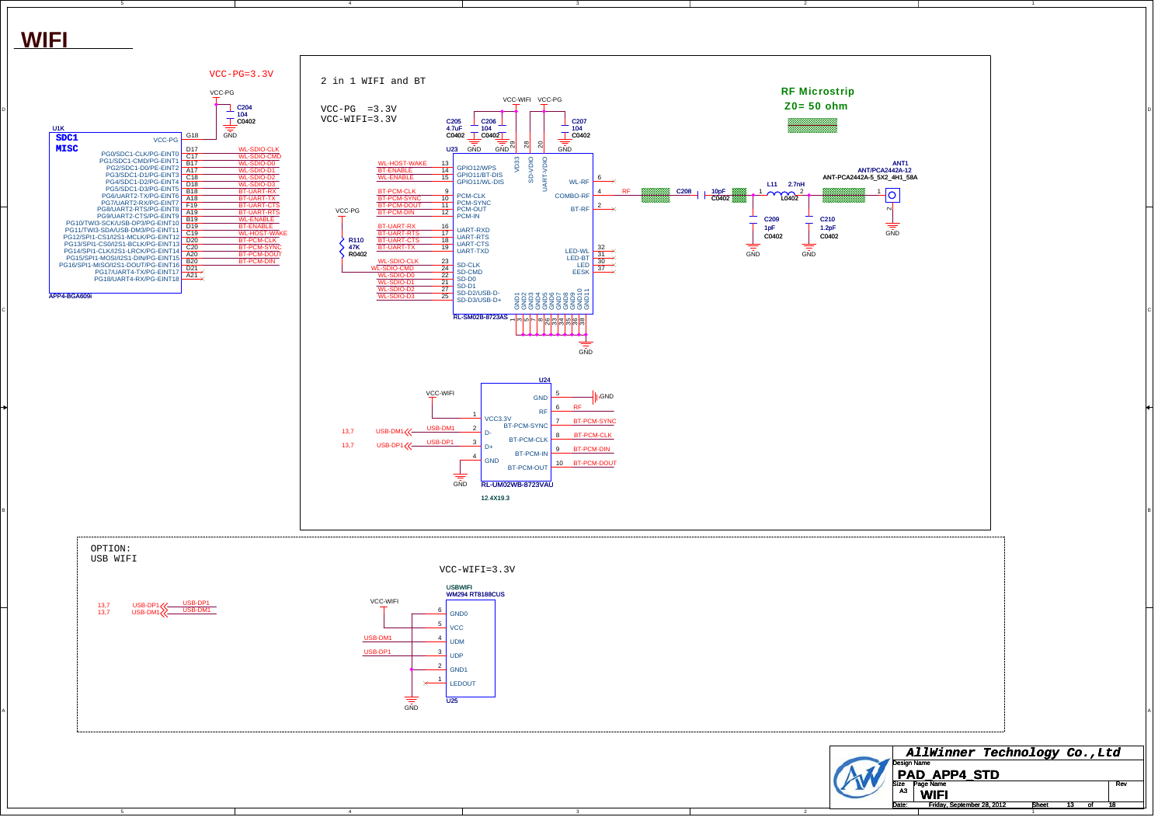

C

B

A



2

1

 $\sqrt{13}$  of

Date: Friday, September 28, 2012 15 Sheet 13 of 18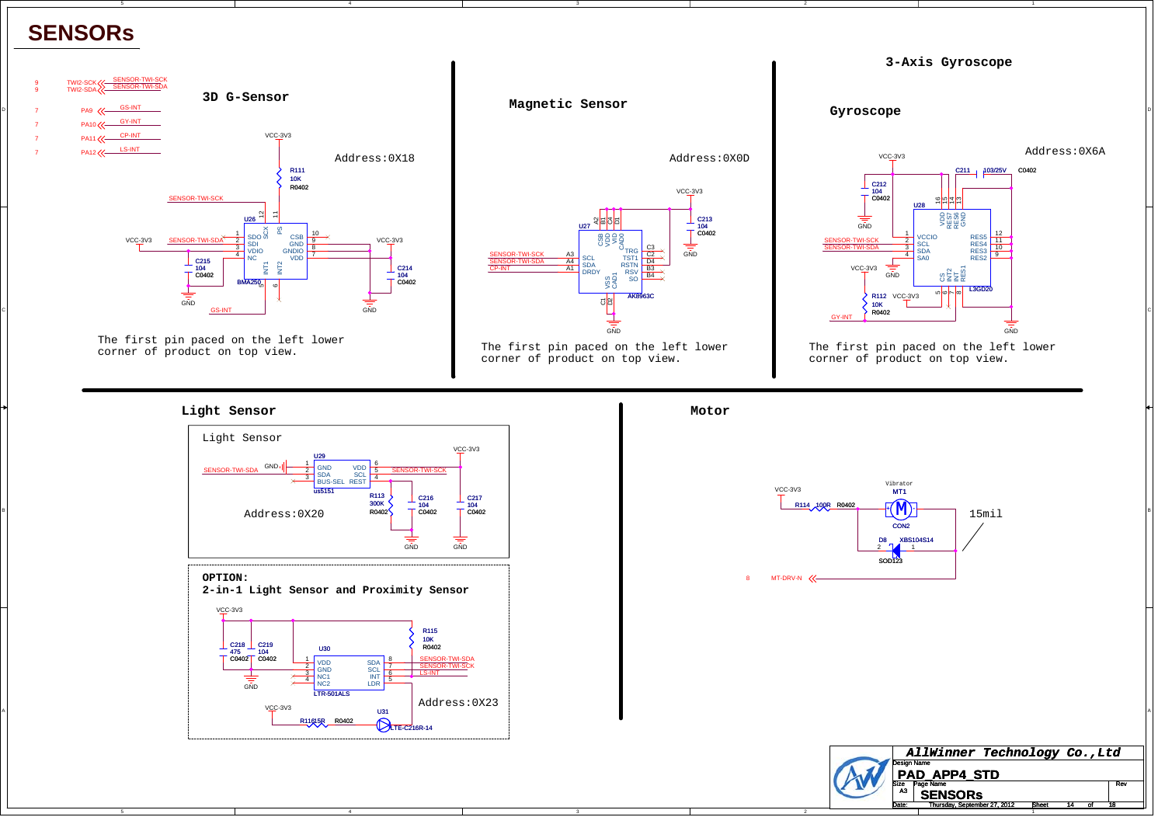## **SENSORs**

C

B

A



The first pin paced on the left lower corner of product on top view.



The first pin paced on the left lower corner of product on top view.



2

The first pin paced on the left lower corner of product on top view.

**Light Sensor**



4



1

Thursday, September 27, 2012 ISheet 14 of 18

t 14 of

Date: Thursday Sentember 27 2012 Sheet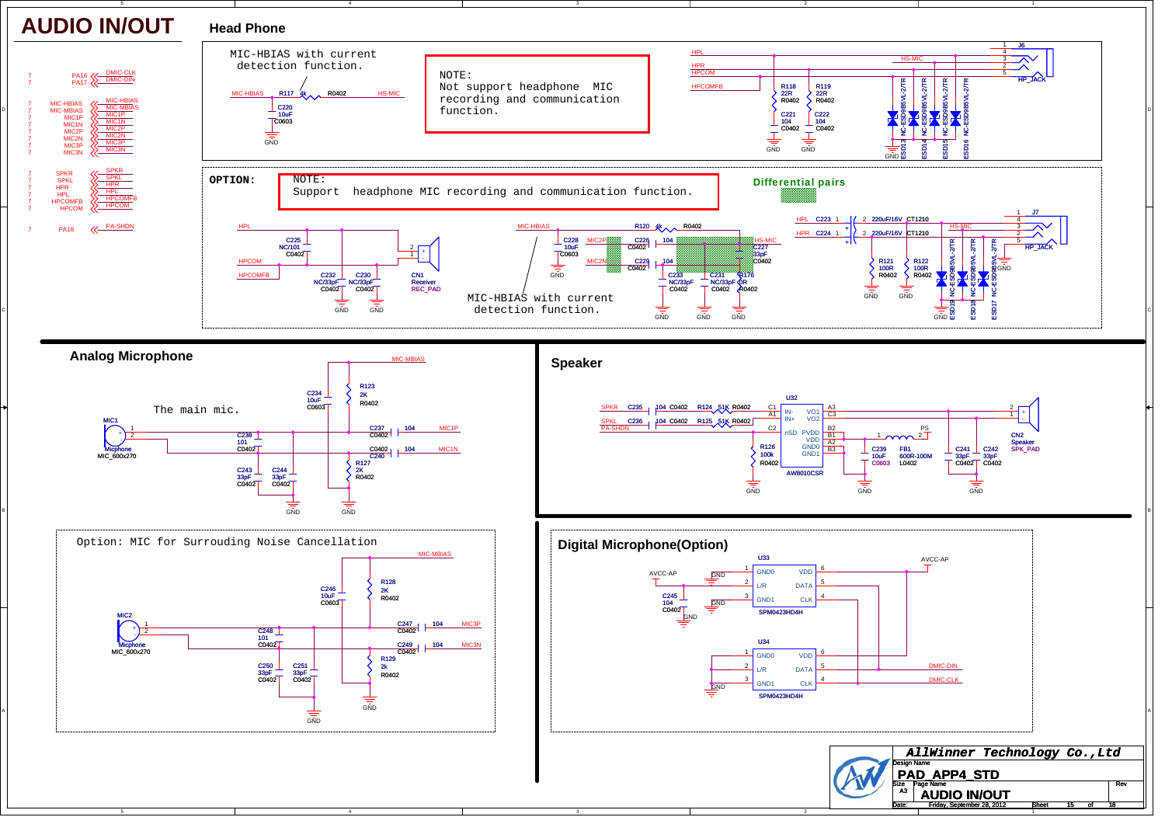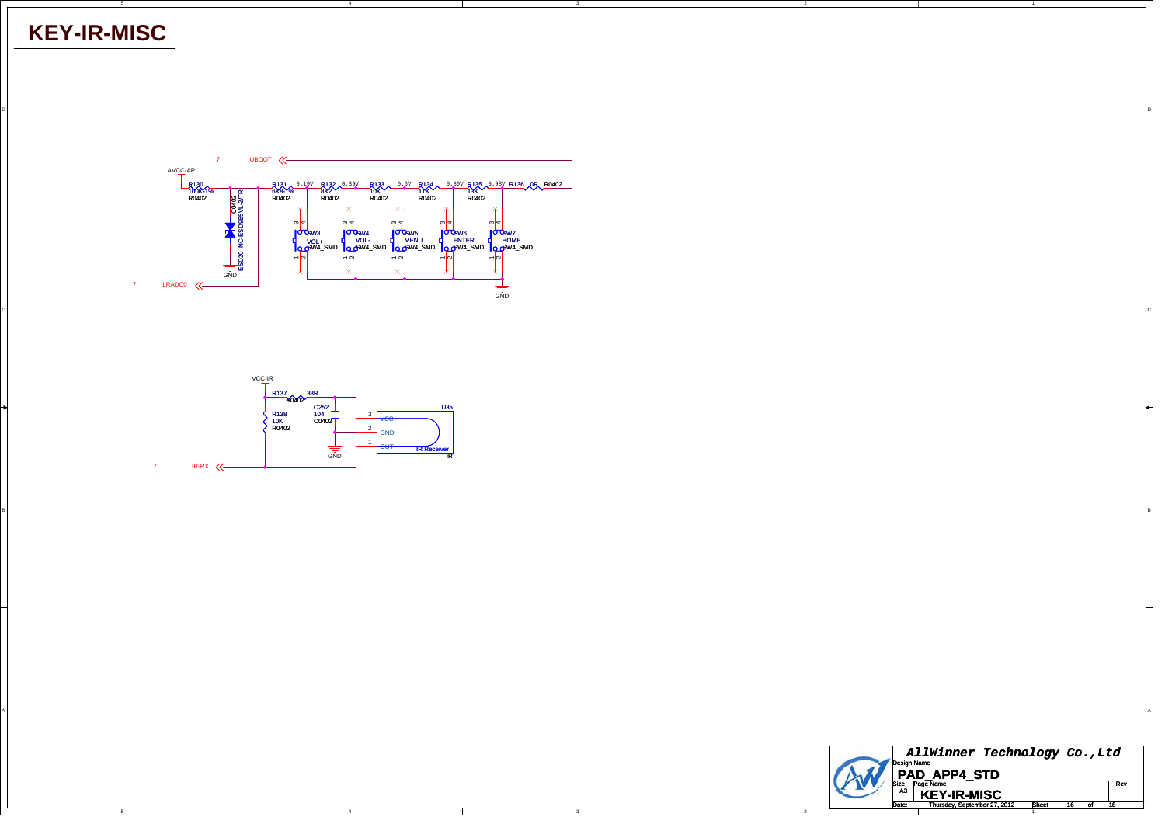## **KEY-IR-MISC**

C

B

A



DI<br>Di

CIL AND A REPORT OF THE RESERVE OF THE RESERVE OF THE RESERVE OF THE RESERVE OF THE RESERVE OF THE RESERVE OF THE RESERVE OF THE RESERVE OF THE RESERVE OF THE RESERVE OF THE RESERVE OF THE RESERVE OF THE RESERVE OF THE RES

BI<br>BI

A

4



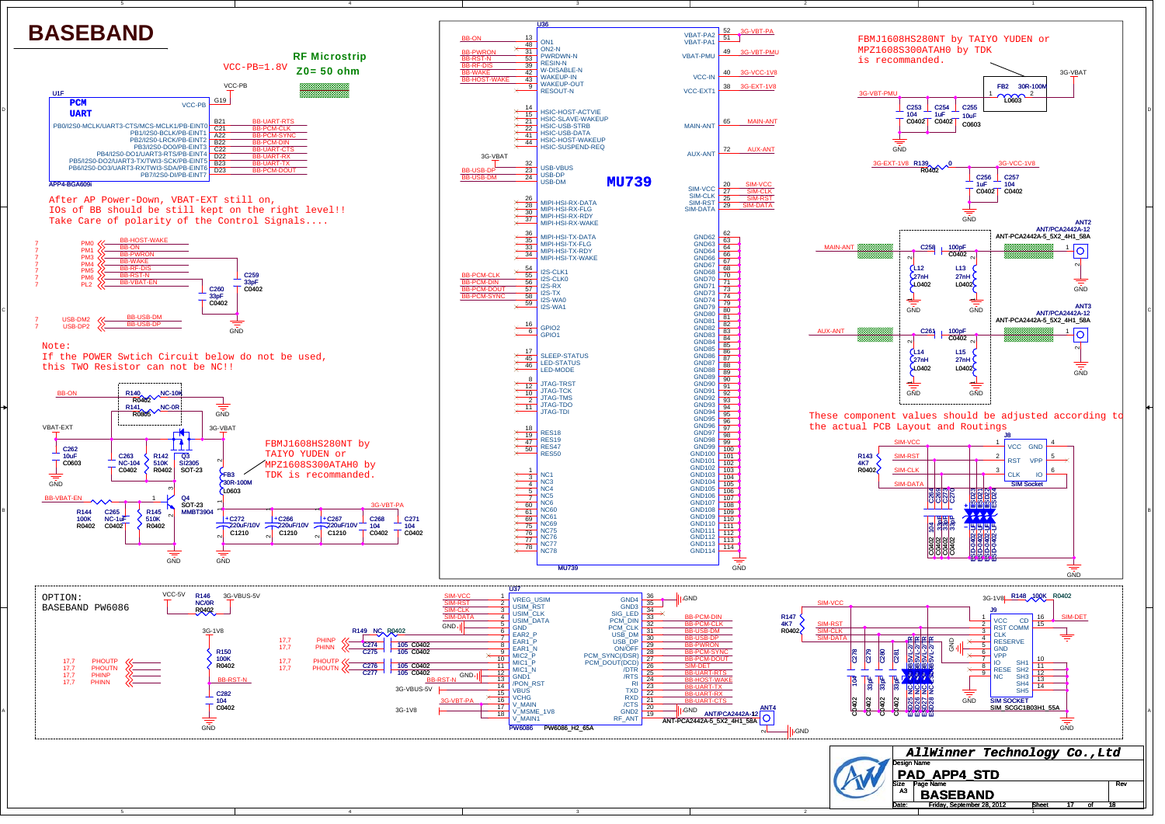

Design Name *AllWinner Technology Co.,Ltd* **PAD\_APP4\_STD** A3

Size Page Name Rev Date: Friday Sentember 28, 2012 Sheet  $t = 17$  of **BASEBAND** Friday, September 28, 2012 15heet 17 of 18

1

4

C

B

A